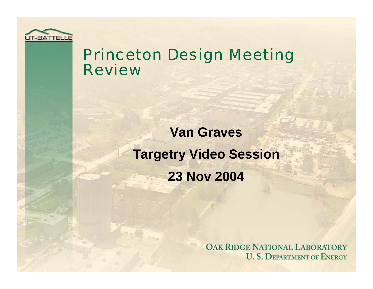

### Princeton Design Meeting Review

**Van GravesTargetry Video Session 23 Nov 2004**

> **OAK RIDGE NATIONAL LABORATORY U. S. DEPARTMENT OF ENERGY**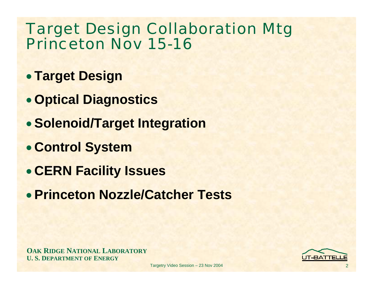# Target Design Collaboration Mtg Princeton Nov 15-16

- **Target Design**
- **Optical Diagnostics**
- **Solenoid/Target Integration**
- **Control System**
- **CERN Facility Issues**
- **Princeton Nozzle/Catcher Tests**

**OAK RIDGE NATIONAL LABORATORY U. S. DEPARTMENT OF ENERGY**

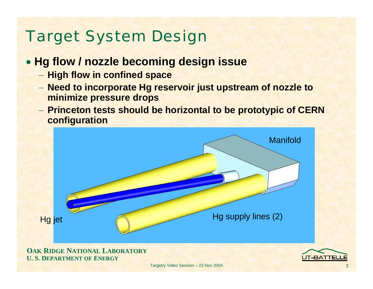# Target System Design

#### • **Hg flow / nozzle becoming design issue**

- **High flow in confined space**
- **Need to incorporate Hg reservoir just upstream of nozzle to minimize pressure drops**
- **Princeton tests should be horizontal to be prototypic of CERN configuration**

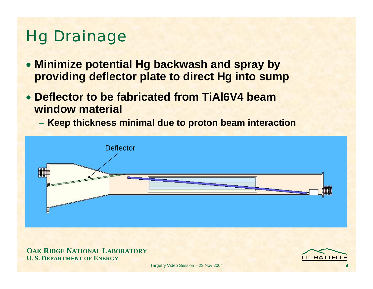# Hg Drainage

- **Minimize potential Hg backwash and spray by providing deflector plate to direct Hg into sump**
- • **Deflector to be fabricated from TiAl6V4 beam window material**
	- **Keep thickness minimal due to proton beam interaction**



**OAK RIDGE NATIONAL LABORATORY U. S. DEPARTMENT OF ENERGY**

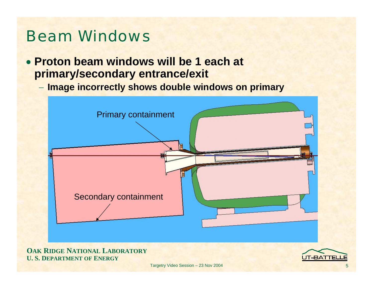## Beam Windows

- **Proton beam windows will be 1 each at primary/secondary entrance/exit**
	- **Image incorrectly shows double windows on primary**



#### **OAK RIDGE NATIONAL LABORATORY U. S. DEPARTMENT OF ENERGY**

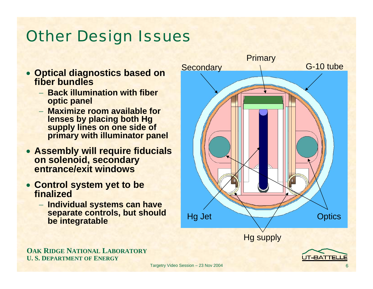# **Other Design Issues**

- **Optical diagnostics based on fiber bundles**
	- − **Back illumination with fiber optic panel**
	- − **Maximize room available for lenses by placing both Hg supply lines on one side of primary with illuminator panel**
- **Assembly will require fiducials on solenoid, secondary entrance/exit windows**
- **Control system yet to be finalized**
	- − **Individual systems can have separate controls, but should be integratable**



**OAK RIDGE NATIONAL LABORATORY U. S. DEPARTMENT OF ENERGY**